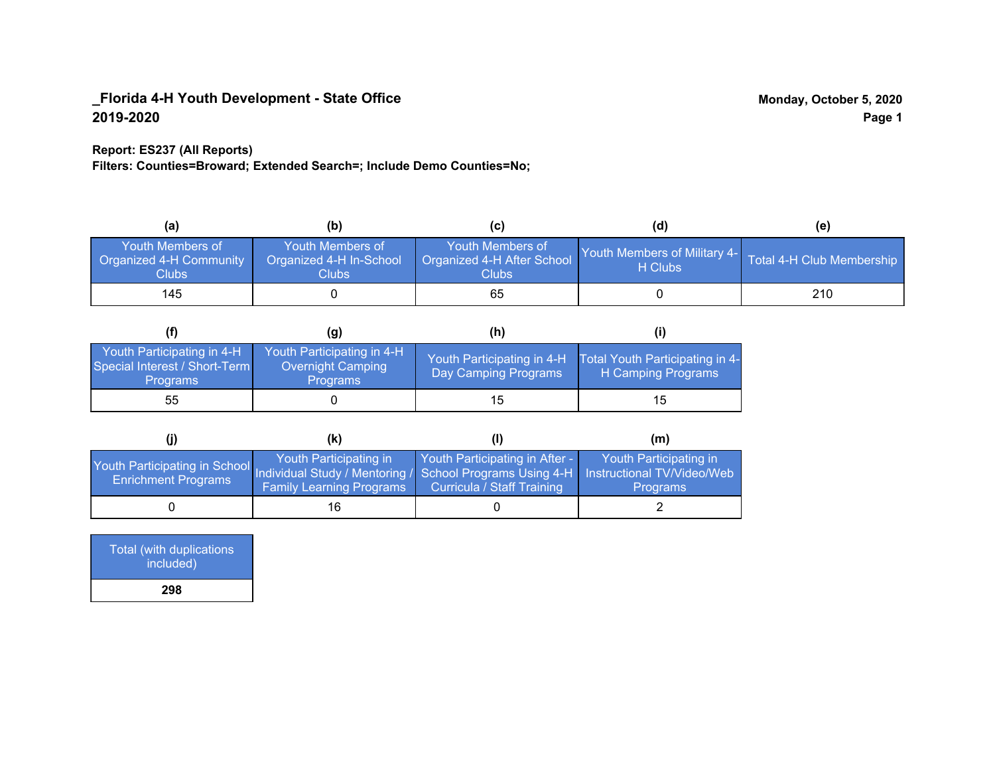### **Report: ES237 (All Reports)**

**Filters: Counties=Broward; Extended Search=; Include Demo Counties=No;**

| (a)                                                                | (b)                                                   | (C)                                                            | (d)                                                               | (e) |
|--------------------------------------------------------------------|-------------------------------------------------------|----------------------------------------------------------------|-------------------------------------------------------------------|-----|
| <b>Youth Members of</b><br><b>Organized 4-H Community</b><br>Clubs | Youth Members of<br>Organized 4-H In-School<br>Clubs: | Youth Members of<br>Organized 4-H After School<br><b>Clubs</b> | Youth Members of Military 4- Total 4-H Club Membership<br>H Clubs |     |
| 145                                                                |                                                       | 65                                                             |                                                                   | 210 |

|                                                                                | (g)                                                                | (h)                                                |                                                       |
|--------------------------------------------------------------------------------|--------------------------------------------------------------------|----------------------------------------------------|-------------------------------------------------------|
| Youth Participating in 4-H<br>Special Interest / Short-Term<br><b>Programs</b> | Youth Participating in 4-H<br>Overnight Camping<br><b>Programs</b> | Youth Participating in 4-H<br>Day Camping Programs | Total Youth Participating in 4-<br>H Camping Programs |
| 55                                                                             |                                                                    | 15                                                 | 15                                                    |

|                                                                                                                                                 | (k)                                                       |                                                              | (m)                                       |
|-------------------------------------------------------------------------------------------------------------------------------------------------|-----------------------------------------------------------|--------------------------------------------------------------|-------------------------------------------|
| Youth Participating in School Individual Study / Mentoring / School Programs Using 4-H Instructional TV/Video/Web<br><b>Enrichment Programs</b> | Youth Participating in<br><b>Family Learning Programs</b> | Youth Participating in After -<br>Curricula / Staff Training | Youth Participating in<br><b>Programs</b> |
|                                                                                                                                                 | 16                                                        |                                                              |                                           |

| Total (with duplications<br>included) |
|---------------------------------------|
| 298                                   |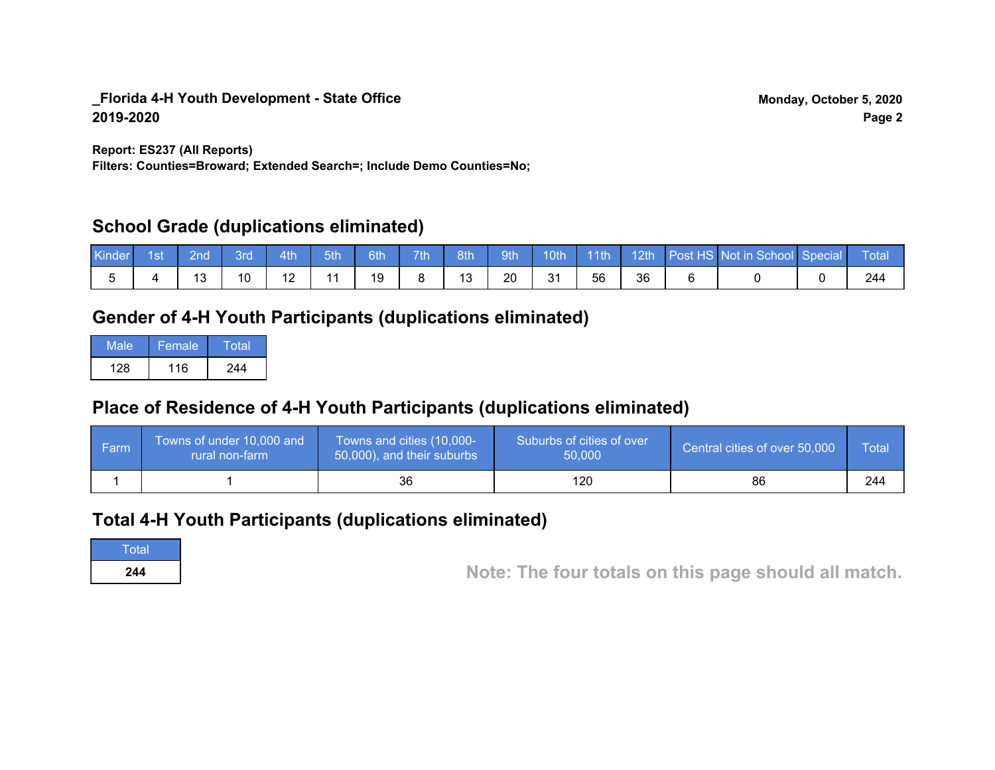**Report: ES237 (All Reports)**

**Filters: Counties=Broward; Extended Search=; Include Demo Counties=No;**

### **School Grade (duplications eliminated)**

| Kinder 1st | ⊟ 2nd i | 3rd | 4th | 5th | 6th | 7th | 8th | $\sqrt{9}$ |    |    |    | 10th 11th 12th Post HS Not in School Special | Total |
|------------|---------|-----|-----|-----|-----|-----|-----|------------|----|----|----|----------------------------------------------|-------|
|            |         |     |     |     | 19  |     |     | 20         | 31 | 56 | 36 |                                              | 244   |

# **Gender of 4-H Youth Participants (duplications eliminated)**

| Male | Female | Total |
|------|--------|-------|
| 128  | 116    | 244   |

# **Place of Residence of 4-H Youth Participants (duplications eliminated)**

| ∣ Farm | Towns of under 10,000 and<br>rural non-farm | Towns and cities (10,000-<br>50,000), and their suburbs | Suburbs of cities of over<br>50,000 | Central cities of over 50,000 | Total |
|--------|---------------------------------------------|---------------------------------------------------------|-------------------------------------|-------------------------------|-------|
|        |                                             | 36                                                      | 120                                 | 86                            | 244   |

### **Total 4-H Youth Participants (duplications eliminated)**

**Total** 

**<sup>244</sup> Note: The four totals on this page should all match.**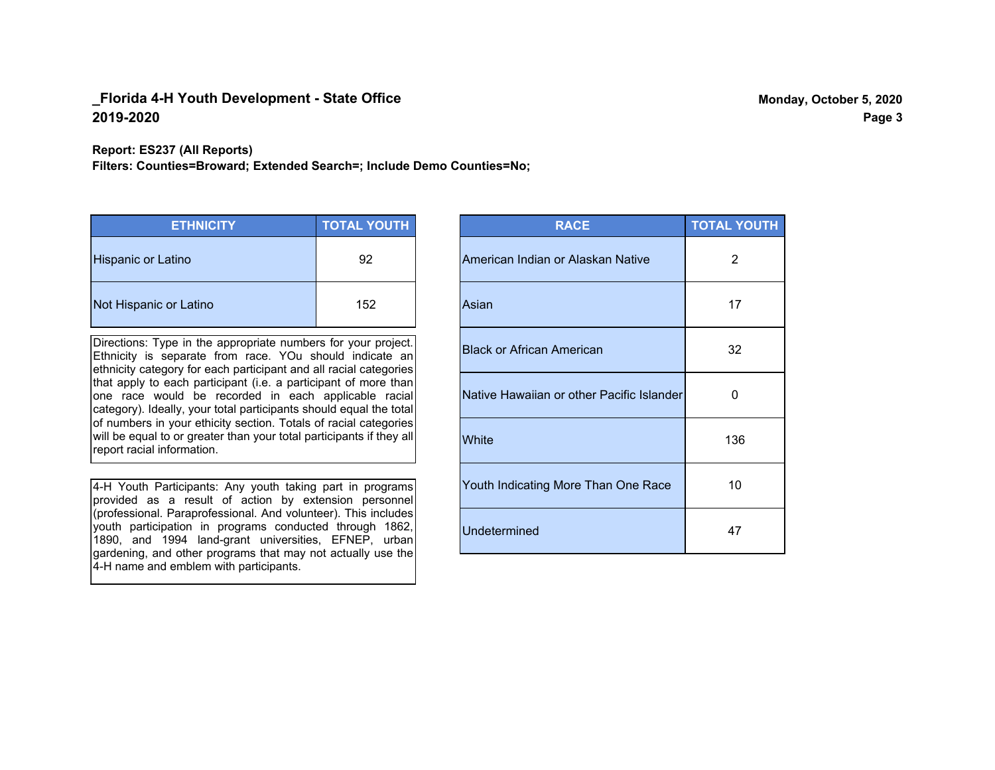**Report: ES237 (All Reports)**

**Filters: Counties=Broward; Extended Search=; Include Demo Counties=No;**

| <b>ETHNICITY</b>          | <b>TOTAL YOUTH</b> |
|---------------------------|--------------------|
| <b>Hispanic or Latino</b> | 92                 |
| Not Hispanic or Latino    | 152                |

Directions: Type in the appropriate numbers for your project. Ethnicity is separate from race. YOu should indicate an ethnicity category for each participant and all racial categories that apply to each participant (i.e. a participant of more than one race would be recorded in each applicable racial category). Ideally, your total participants should equal the total of numbers in your ethicity section. Totals of racial categories will be equal to or greater than your total participants if they all report racial information.

4-H Youth Participants: Any youth taking part in programs provided as a result of action by extension personnel (professional. Paraprofessional. And volunteer). This includes youth participation in programs conducted through 1862, 1890, and 1994 land-grant universities, EFNEP, urban gardening, and other programs that may not actually use the 4-H name and emblem with participants.

| <b>RACE</b>                               | <b>TOTAL YOUTH</b> |
|-------------------------------------------|--------------------|
| American Indian or Alaskan Native         | 2                  |
| Asian                                     | 17                 |
| <b>Black or African American</b>          | 32                 |
| Native Hawaiian or other Pacific Islander | 0                  |
| White                                     | 136                |
| Youth Indicating More Than One Race       | 10                 |
| <b>Undetermined</b>                       | 47                 |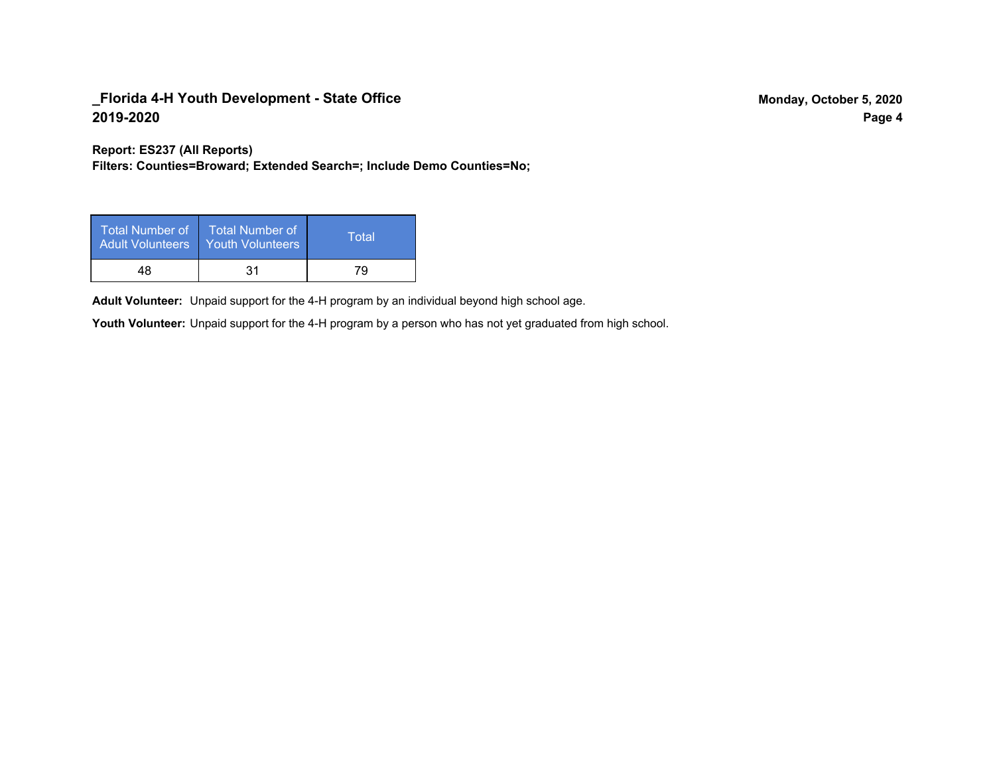**Report: ES237 (All Reports)**

**Filters: Counties=Broward; Extended Search=; Include Demo Counties=No;**

| Total Number of<br><b>Adult Volunteers</b> | <b>Total Number of</b><br>Youth Volunteers | Total |
|--------------------------------------------|--------------------------------------------|-------|
| 48                                         | 31                                         | 79    |

Adult Volunteer: Unpaid support for the 4-H program by an individual beyond high school age.

Youth Volunteer: Unpaid support for the 4-H program by a person who has not yet graduated from high school.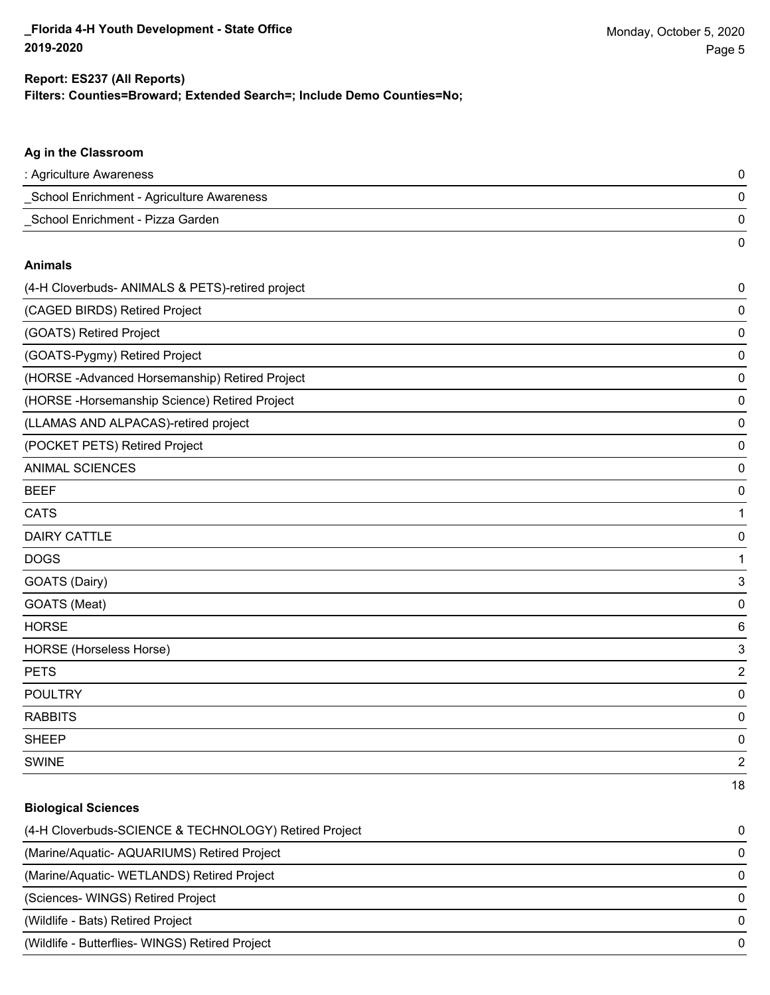### **Filters: Counties=Broward; Extended Search=; Include Demo Counties=No; Report: ES237 (All Reports)**

# **Ag in the Classroom** : Agriculture Awareness 0 \_School Enrichment - Agriculture Awareness 0 \_School Enrichment - Pizza Garden 0 0 **Animals** (4-H Cloverbuds- ANIMALS & PETS)-retired project 0 (CAGED BIRDS) Retired Project 0 (GOATS) Retired Project 0 (GOATS-Pygmy) Retired Project 0 (HORSE -Advanced Horsemanship) Retired Project 0 (HORSE -Horsemanship Science) Retired Project 0 (LLAMAS AND ALPACAS)-retired project 0 (POCKET PETS) Retired Project 0 ANIMAL SCIENCES 0 BEEF 0 cats and the contract of the contract of the contract of the contract of the contract of the contract of the contract of the contract of the contract of the contract of the contract of the contract of the contract of the c DAIRY CATTLE 0 DOGS 1 GOATS (Dairy) 3 GOATS (Meat) 0 HORSE 6 HORSE (Horseless Horse) 3 PETS 22 and 22 and 23 and 23 and 23 and 23 and 23 and 23 and 23 and 23 and 24 and 25 and 26 and 26 and 26 and 26 and 26 and 26 and 26 and 26 and 26 and 26 and 26 and 26 and 26 and 26 and 26 and 26 and 26 and 26 and 26 and POULTRY 0 RABBITS 0 sheep to the control of the control of the control of the control of the control of the control of the control of the control of the control of the control of the control of the control of the control of the control of the

# SWINE 22 and 22 and 23 and 23 and 23 and 23 and 23 and 23 and 23 and 23 and 24 and 25 and 26 and 26 and 26 and 26 and 26 and 26 and 26 and 26 and 26 and 26 and 26 and 26 and 26 and 26 and 26 and 26 and 26 and 26 and 26 and

**Biological Sciences**

# 18

| (4-H Cloverbuds-SCIENCE & TECHNOLOGY) Retired Project | 0        |
|-------------------------------------------------------|----------|
| (Marine/Aquatic-AQUARIUMS) Retired Project            | $\Omega$ |
| (Marine/Aquatic-WETLANDS) Retired Project             | $\Omega$ |
| (Sciences- WINGS) Retired Project                     | $\Omega$ |
| (Wildlife - Bats) Retired Project                     | $\Omega$ |
| (Wildlife - Butterflies- WINGS) Retired Project       | $\Omega$ |
|                                                       |          |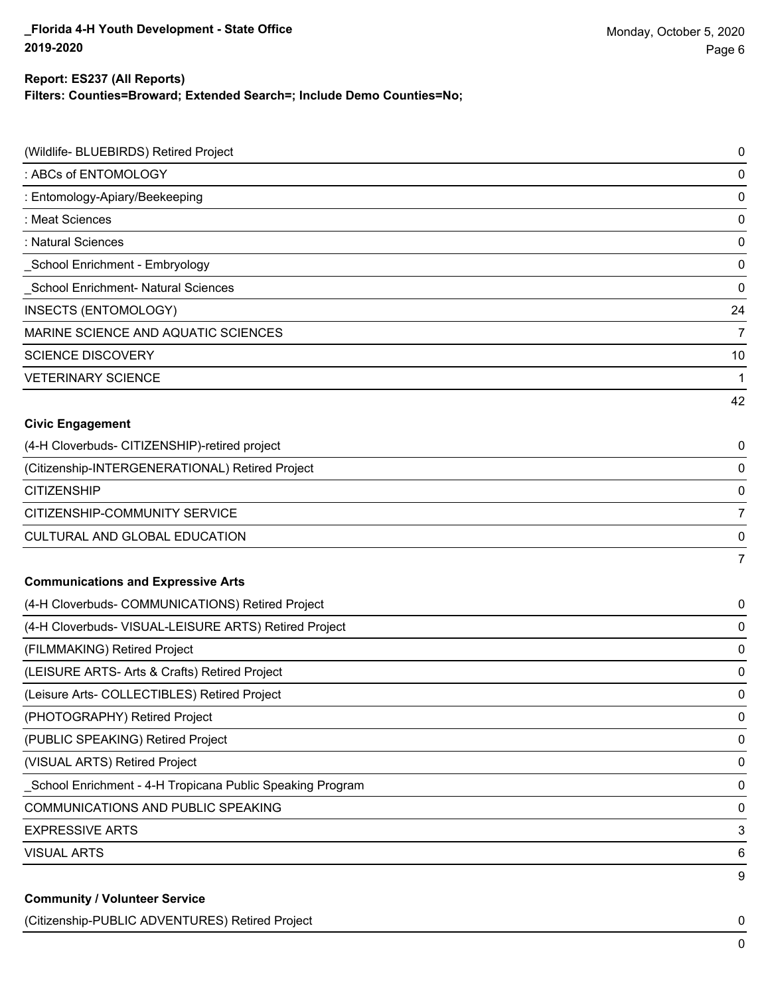### **Report: ES237 (All Reports)**

**Filters: Counties=Broward; Extended Search=; Include Demo Counties=No;**

| (Wildlife- BLUEBIRDS) Retired Project                     | $\pmb{0}$      |
|-----------------------------------------------------------|----------------|
| : ABCs of ENTOMOLOGY                                      | 0              |
| : Entomology-Apiary/Beekeeping                            | $\mathbf 0$    |
| : Meat Sciences                                           | $\mathbf 0$    |
| : Natural Sciences                                        | $\mathbf 0$    |
| School Enrichment - Embryology                            | $\mathbf 0$    |
| School Enrichment- Natural Sciences                       | $\mathbf 0$    |
| <b>INSECTS (ENTOMOLOGY)</b>                               | 24             |
| MARINE SCIENCE AND AQUATIC SCIENCES                       | 7              |
| <b>SCIENCE DISCOVERY</b>                                  | 10             |
| <b>VETERINARY SCIENCE</b>                                 | 1              |
|                                                           | 42             |
| <b>Civic Engagement</b>                                   |                |
| (4-H Cloverbuds- CITIZENSHIP)-retired project             | 0              |
| (Citizenship-INTERGENERATIONAL) Retired Project           | 0              |
| <b>CITIZENSHIP</b>                                        | $\mathbf 0$    |
| CITIZENSHIP-COMMUNITY SERVICE                             | $\overline{7}$ |
| CULTURAL AND GLOBAL EDUCATION                             | 0              |
|                                                           | $\overline{7}$ |
| <b>Communications and Expressive Arts</b>                 |                |
| (4-H Cloverbuds- COMMUNICATIONS) Retired Project          | 0              |
| (4-H Cloverbuds- VISUAL-LEISURE ARTS) Retired Project     | 0              |
| (FILMMAKING) Retired Project                              | $\mathbf 0$    |
| (LEISURE ARTS- Arts & Crafts) Retired Project             | 0              |
| (Leisure Arts- COLLECTIBLES) Retired Project              | $\mathbf 0$    |
| (PHOTOGRAPHY) Retired Project                             | $\pmb{0}$      |
| (PUBLIC SPEAKING) Retired Project                         | 0              |
| (VISUAL ARTS) Retired Project                             | $\pmb{0}$      |
| School Enrichment - 4-H Tropicana Public Speaking Program | 0              |
| COMMUNICATIONS AND PUBLIC SPEAKING                        | $\pmb{0}$      |
| <b>EXPRESSIVE ARTS</b>                                    | 3              |
| <b>VISUAL ARTS</b>                                        | 6              |
|                                                           | 9              |
| <b>Community / Volunteer Service</b>                      |                |

(Citizenship-PUBLIC ADVENTURES) Retired Project 0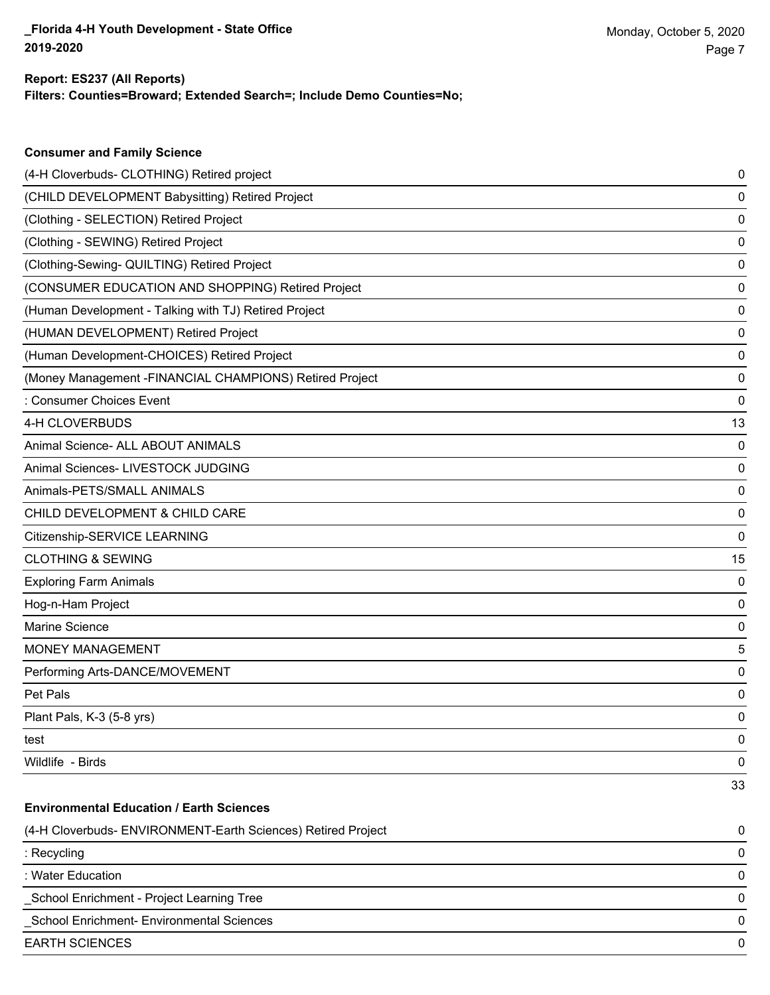**Consumer and Family Science**

### **Filters: Counties=Broward; Extended Search=; Include Demo Counties=No; Report: ES237 (All Reports)**

| (4-H Cloverbuds- CLOTHING) Retired project                   | 0  |
|--------------------------------------------------------------|----|
| (CHILD DEVELOPMENT Babysitting) Retired Project              | 0  |
| (Clothing - SELECTION) Retired Project                       | 0  |
| (Clothing - SEWING) Retired Project                          | 0  |
| (Clothing-Sewing- QUILTING) Retired Project                  | 0  |
| (CONSUMER EDUCATION AND SHOPPING) Retired Project            | 0  |
| (Human Development - Talking with TJ) Retired Project        | 0  |
| (HUMAN DEVELOPMENT) Retired Project                          | 0  |
| (Human Development-CHOICES) Retired Project                  | 0  |
| (Money Management - FINANCIAL CHAMPIONS) Retired Project     | 0  |
| : Consumer Choices Event                                     | 0  |
| 4-H CLOVERBUDS                                               | 13 |
| Animal Science- ALL ABOUT ANIMALS                            | 0  |
| Animal Sciences- LIVESTOCK JUDGING                           | 0  |
| Animals-PETS/SMALL ANIMALS                                   | 0  |
| CHILD DEVELOPMENT & CHILD CARE                               | 0  |
| Citizenship-SERVICE LEARNING                                 | 0  |
| <b>CLOTHING &amp; SEWING</b>                                 | 15 |
| <b>Exploring Farm Animals</b>                                | 0  |
| Hog-n-Ham Project                                            | 0  |
| <b>Marine Science</b>                                        | 0  |
| MONEY MANAGEMENT                                             | 5  |
| Performing Arts-DANCE/MOVEMENT                               | 0  |
| Pet Pals                                                     | 0  |
| Plant Pals, K-3 (5-8 yrs)                                    | 0  |
| test                                                         | 0  |
| Wildlife - Birds                                             | 0  |
|                                                              | 33 |
| <b>Environmental Education / Earth Sciences</b>              |    |
| (4-H Cloverbuds- ENVIRONMENT-Earth Sciences) Retired Project | 0  |
| : Recycling                                                  | 0  |
| : Water Education                                            | 0  |
| School Enrichment - Project Learning Tree                    | 0  |
| School Enrichment- Environmental Sciences                    | 0  |
| <b>EARTH SCIENCES</b>                                        | 0  |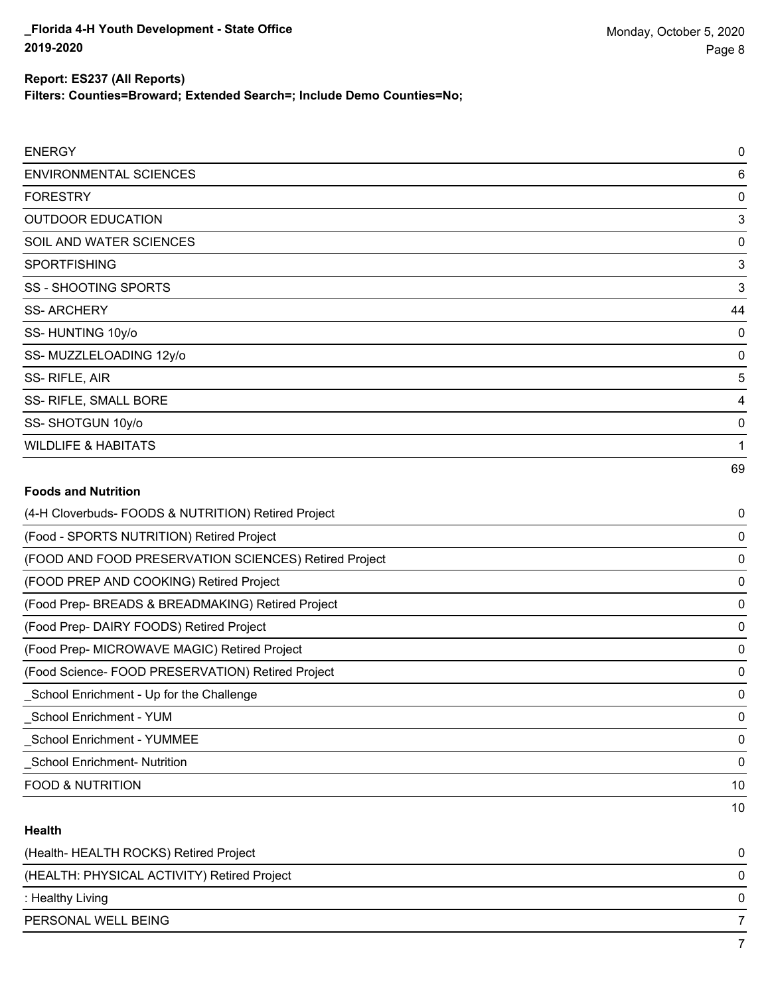**Filters: Counties=Broward; Extended Search=; Include Demo Counties=No;**

| <b>ENERGY</b>                  | $\pmb{0}$   |
|--------------------------------|-------------|
| <b>ENVIRONMENTAL SCIENCES</b>  | 6           |
| <b>FORESTRY</b>                | $\mathbf 0$ |
| <b>OUTDOOR EDUCATION</b>       | 3           |
| SOIL AND WATER SCIENCES        | $\mathbf 0$ |
| <b>SPORTFISHING</b>            | 3           |
| SS - SHOOTING SPORTS           | $\sqrt{3}$  |
| <b>SS-ARCHERY</b>              | 44          |
| SS-HUNTING 10y/o               | $\pmb{0}$   |
| SS-MUZZLELOADING 12y/o         | $\mathbf 0$ |
| SS-RIFLE, AIR                  | 5           |
| SS- RIFLE, SMALL BORE          | 4           |
| SS-SHOTGUN 10y/o               | $\mathbf 0$ |
| <b>WILDLIFE &amp; HABITATS</b> | 1           |
|                                | 69          |

### **Foods and Nutrition**

| (4-H Cloverbuds- FOODS & NUTRITION) Retired Project   | 0            |
|-------------------------------------------------------|--------------|
| (Food - SPORTS NUTRITION) Retired Project             | 0            |
| (FOOD AND FOOD PRESERVATION SCIENCES) Retired Project | 0            |
| (FOOD PREP AND COOKING) Retired Project               | 0            |
| (Food Prep- BREADS & BREADMAKING) Retired Project     | 0            |
| (Food Prep- DAIRY FOODS) Retired Project              | 0            |
| (Food Prep- MICROWAVE MAGIC) Retired Project          | $\mathbf{0}$ |
| (Food Science-FOOD PRESERVATION) Retired Project      | 0            |
| School Enrichment - Up for the Challenge              | 0            |
| School Enrichment - YUM                               | 0            |
| <b>School Enrichment - YUMMEE</b>                     | $\mathbf{0}$ |
| School Enrichment- Nutrition                          | 0            |
| <b>FOOD &amp; NUTRITION</b>                           | 10           |
|                                                       | 10           |

### **Health**

| (Health-HEALTH ROCKS) Retired Project       | 0 |
|---------------------------------------------|---|
| (HEALTH: PHYSICAL ACTIVITY) Retired Project | 0 |
| : Healthy Living                            | 0 |
| PERSONAL WELL BEING                         |   |
|                                             |   |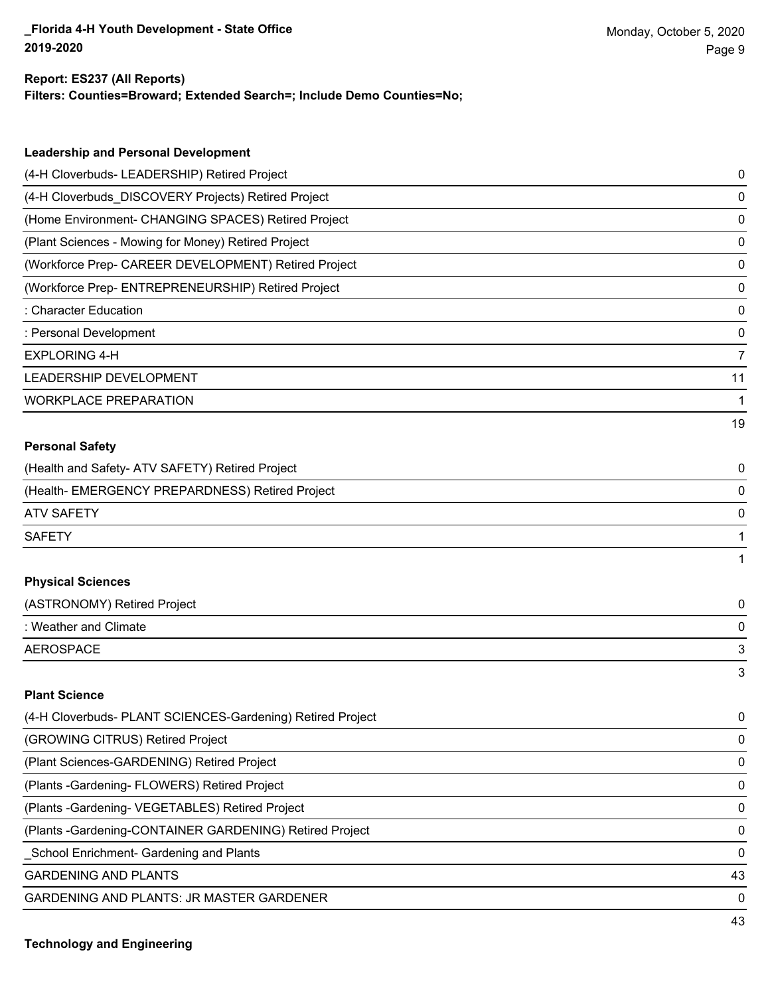#### **Report: ES237 (All Reports)**

**Filters: Counties=Broward; Extended Search=; Include Demo Counties=No;**

| <b>Leadership and Personal Development</b>                 |                |
|------------------------------------------------------------|----------------|
| (4-H Cloverbuds- LEADERSHIP) Retired Project               | 0              |
| (4-H Cloverbuds_DISCOVERY Projects) Retired Project        | 0              |
| (Home Environment- CHANGING SPACES) Retired Project        | 0              |
| (Plant Sciences - Mowing for Money) Retired Project        | 0              |
| (Workforce Prep- CAREER DEVELOPMENT) Retired Project       | 0              |
| (Workforce Prep- ENTREPRENEURSHIP) Retired Project         | 0              |
| : Character Education                                      | 0              |
| : Personal Development                                     | 0              |
| <b>EXPLORING 4-H</b>                                       | $\overline{7}$ |
| LEADERSHIP DEVELOPMENT                                     | 11             |
| <b>WORKPLACE PREPARATION</b>                               | 1              |
|                                                            | 19             |
| <b>Personal Safety</b>                                     |                |
| (Health and Safety- ATV SAFETY) Retired Project            | 0              |
| (Health- EMERGENCY PREPARDNESS) Retired Project            | 0              |
| <b>ATV SAFETY</b>                                          | 0              |
| <b>SAFETY</b>                                              | 1              |
|                                                            | 1              |
| <b>Physical Sciences</b>                                   |                |
| (ASTRONOMY) Retired Project                                | 0              |
| : Weather and Climate                                      | 0              |
| <b>AEROSPACE</b>                                           | 3              |
|                                                            | 3              |
| <b>Plant Science</b>                                       |                |
| (4-H Cloverbuds- PLANT SCIENCES-Gardening) Retired Project | 0              |
| (GROWING CITRUS) Retired Project                           | 0              |
| (Plant Sciences-GARDENING) Retired Project                 | 0              |
| (Plants - Gardening - FLOWERS) Retired Project             | 0              |
| (Plants - Gardening - VEGETABLES) Retired Project          | 0              |
|                                                            |                |

(Plants -Gardening-CONTAINER GARDENING) Retired Project 0

\_School Enrichment- Gardening and Plants 0

GARDENING AND PLANTS 43

GARDENING AND PLANTS: JR MASTER GARDENER 0